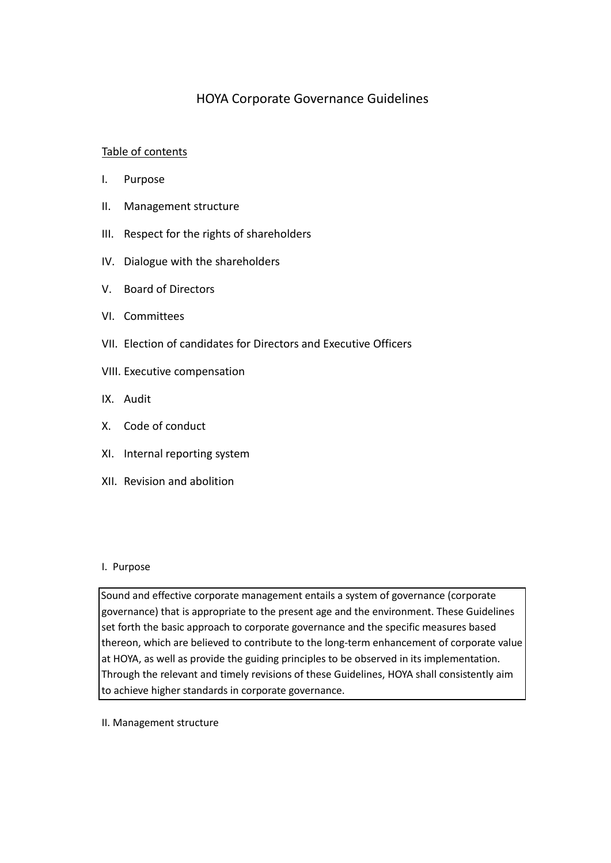# HOYA Corporate Governance Guidelines

## Table of contents

- I. Purpose
- II. Management structure
- III. Respect for the rights of shareholders
- IV. Dialogue with the shareholders
- V. Board of Directors
- VI. Committees
- VII. Election of candidates for Directors and Executive Officers
- VIII. Executive compensation
- IX. Audit
- X. Code of conduct
- XI. Internal reporting system
- XII. Revision and abolition

## I. Purpose

Sound and effective corporate management entails a system of governance (corporate governance) that is appropriate to the present age and the environment. These Guidelines set forth the basic approach to corporate governance and the specific measures based thereon, which are believed to contribute to the long-term enhancement of corporate value at HOYA, as well as provide the guiding principles to be observed in its implementation. Through the relevant and timely revisions of these Guidelines, HOYA shall consistently aim to achieve higher standards in corporate governance.

II. Management structure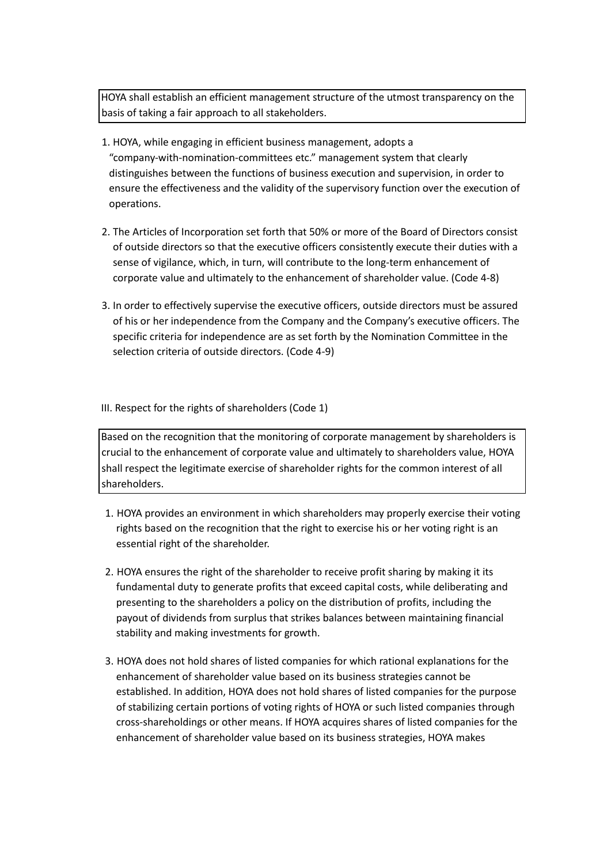HOYA shall establish an efficient management structure of the utmost transparency on the basis of taking a fair approach to all stakeholders.

- 1. HOYA, while engaging in efficient business management, adopts a "company-with-nomination-committees etc." management system that clearly distinguishes between the functions of business execution and supervision, in order to ensure the effectiveness and the validity of the supervisory function over the execution of operations.
- 2. The Articles of Incorporation set forth that 50% or more of the Board of Directors consist of outside directors so that the executive officers consistently execute their duties with a sense of vigilance, which, in turn, will contribute to the long-term enhancement of corporate value and ultimately to the enhancement of shareholder value. (Code 4-8)
- 3. In order to effectively supervise the executive officers, outside directors must be assured of his or her independence from the Company and the Company's executive officers. The specific criteria for independence are as set forth by the Nomination Committee in the selection criteria of outside directors. (Code 4-9)

III. Respect for the rights of shareholders (Code 1)

Based on the recognition that the monitoring of corporate management by shareholders is crucial to the enhancement of corporate value and ultimately to shareholders value, HOYA shall respect the legitimate exercise of shareholder rights for the common interest of all shareholders.

- 1. HOYA provides an environment in which shareholders may properly exercise their voting rights based on the recognition that the right to exercise his or her voting right is an essential right of the shareholder.
- 2. HOYA ensures the right of the shareholder to receive profit sharing by making it its fundamental duty to generate profits that exceed capital costs, while deliberating and presenting to the shareholders a policy on the distribution of profits, including the payout of dividends from surplus that strikes balances between maintaining financial stability and making investments for growth.
- 3. HOYA does not hold shares of listed companies for which rational explanations for the enhancement of shareholder value based on its business strategies cannot be established. In addition, HOYA does not hold shares of listed companies for the purpose of stabilizing certain portions of voting rights of HOYA or such listed companies through cross-shareholdings or other means. If HOYA acquires shares of listed companies for the enhancement of shareholder value based on its business strategies, HOYA makes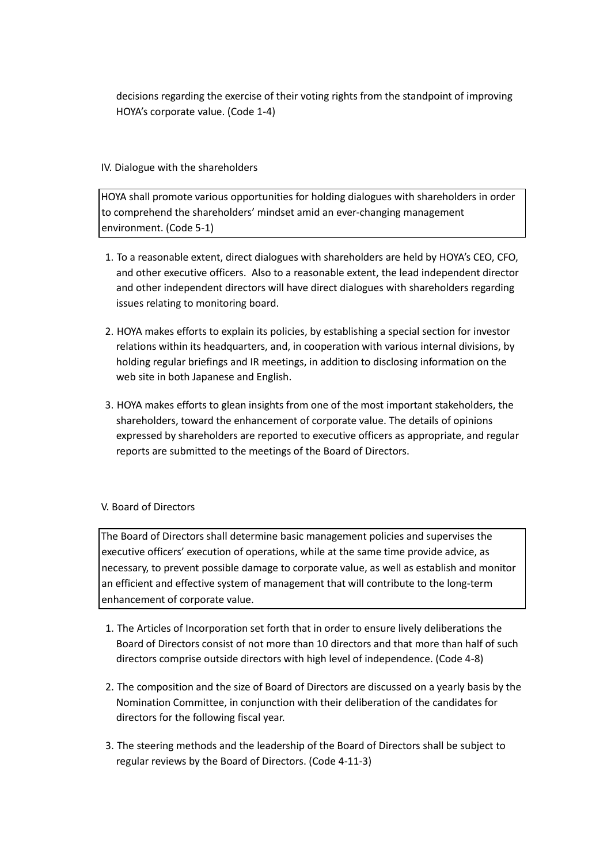decisions regarding the exercise of their voting rights from the standpoint of improving HOYA's corporate value. (Code 1-4)

## IV. Dialogue with the shareholders

HOYA shall promote various opportunities for holding dialogues with shareholders in order to comprehend the shareholders' mindset amid an ever-changing management environment. (Code 5-1)

- 1. To a reasonable extent, direct dialogues with shareholders are held by HOYA's CEO, CFO, and other executive officers. Also to a reasonable extent, the lead independent director and other independent directors will have direct dialogues with shareholders regarding issues relating to monitoring board.
- 2. HOYA makes efforts to explain its policies, by establishing a special section for investor relations within its headquarters, and, in cooperation with various internal divisions, by holding regular briefings and IR meetings, in addition to disclosing information on the web site in both Japanese and English.
- 3. HOYA makes efforts to glean insights from one of the most important stakeholders, the shareholders, toward the enhancement of corporate value. The details of opinions expressed by shareholders are reported to executive officers as appropriate, and regular reports are submitted to the meetings of the Board of Directors.

## V. Board of Directors

The Board of Directors shall determine basic management policies and supervises the executive officers' execution of operations, while at the same time provide advice, as necessary, to prevent possible damage to corporate value, as well as establish and monitor an efficient and effective system of management that will contribute to the long-term enhancement of corporate value.

- 1. The Articles of Incorporation set forth that in order to ensure lively deliberations the Board of Directors consist of not more than 10 directors and that more than half of such directors comprise outside directors with high level of independence. (Code 4-8)
- 2. The composition and the size of Board of Directors are discussed on a yearly basis by the Nomination Committee, in conjunction with their deliberation of the candidates for directors for the following fiscal year.
- 3. The steering methods and the leadership of the Board of Directors shall be subject to regular reviews by the Board of Directors. (Code 4-11-3)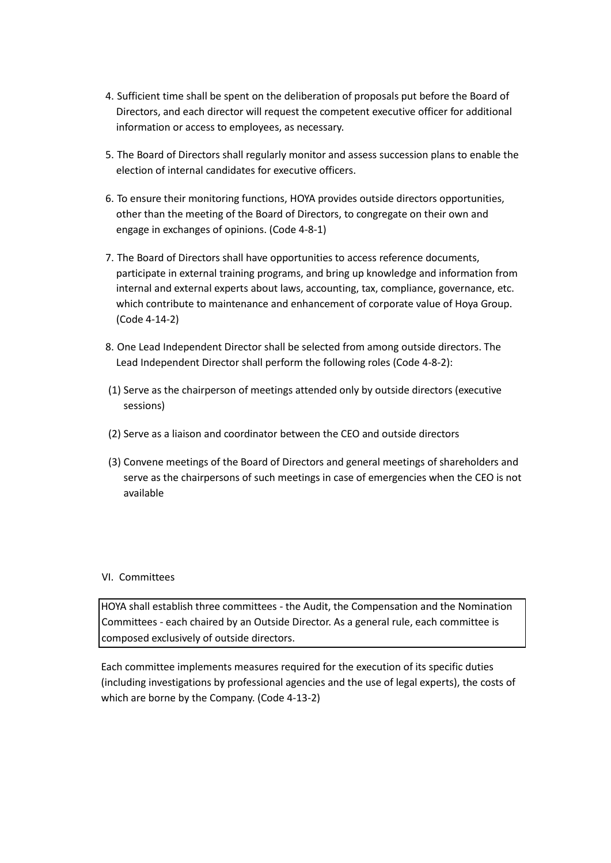- 4. Sufficient time shall be spent on the deliberation of proposals put before the Board of Directors, and each director will request the competent executive officer for additional information or access to employees, as necessary.
- 5. The Board of Directors shall regularly monitor and assess succession plans to enable the election of internal candidates for executive officers.
- 6. To ensure their monitoring functions, HOYA provides outside directors opportunities, other than the meeting of the Board of Directors, to congregate on their own and engage in exchanges of opinions. (Code 4-8-1)
- 7. The Board of Directors shall have opportunities to access reference documents, participate in external training programs, and bring up knowledge and information from internal and external experts about laws, accounting, tax, compliance, governance, etc. which contribute to maintenance and enhancement of corporate value of Hoya Group. (Code 4-14-2)
- 8. One Lead Independent Director shall be selected from among outside directors. The Lead Independent Director shall perform the following roles (Code 4-8-2):
- (1) Serve as the chairperson of meetings attended only by outside directors (executive sessions)
- (2) Serve as a liaison and coordinator between the CEO and outside directors
- (3) Convene meetings of the Board of Directors and general meetings of shareholders and serve as the chairpersons of such meetings in case of emergencies when the CEO is not available

### VI. Committees

HOYA shall establish three committees - the Audit, the Compensation and the Nomination Committees - each chaired by an Outside Director. As a general rule, each committee is composed exclusively of outside directors.

Each committee implements measures required for the execution of its specific duties (including investigations by professional agencies and the use of legal experts), the costs of which are borne by the Company. (Code 4-13-2)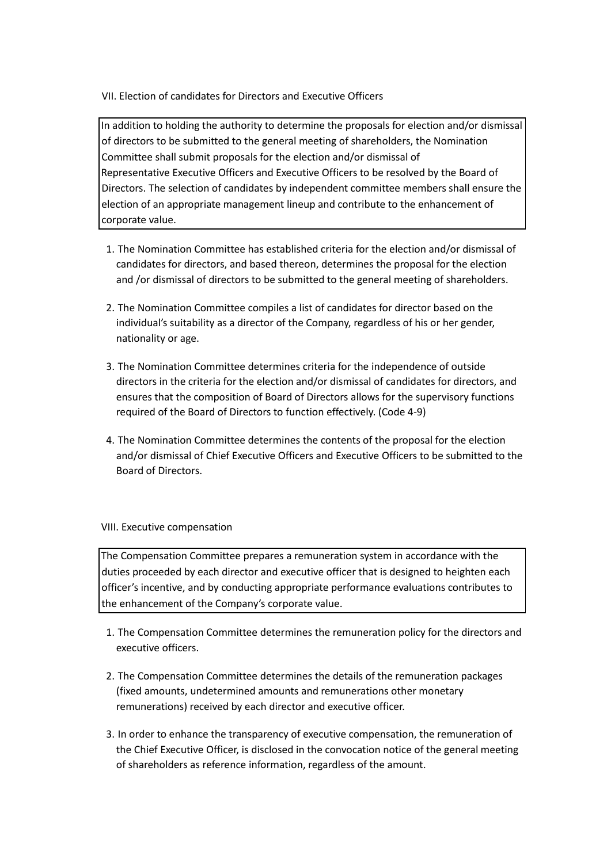VII. Election of candidates for Directors and Executive Officers

In addition to holding the authority to determine the proposals for election and/or dismissal of directors to be submitted to the general meeting of shareholders, the Nomination Committee shall submit proposals for the election and/or dismissal of Representative Executive Officers and Executive Officers to be resolved by the Board of Directors. The selection of candidates by independent committee members shall ensure the election of an appropriate management lineup and contribute to the enhancement of corporate value.

- 1. The Nomination Committee has established criteria for the election and/or dismissal of candidates for directors, and based thereon, determines the proposal for the election and /or dismissal of directors to be submitted to the general meeting of shareholders.
- 2. The Nomination Committee compiles a list of candidates for director based on the individual's suitability as a director of the Company, regardless of his or her gender, nationality or age.
- 3. The Nomination Committee determines criteria for the independence of outside directors in the criteria for the election and/or dismissal of candidates for directors, and ensures that the composition of Board of Directors allows for the supervisory functions required of the Board of Directors to function effectively. (Code 4-9)
- 4. The Nomination Committee determines the contents of the proposal for the election and/or dismissal of Chief Executive Officers and Executive Officers to be submitted to the Board of Directors.

### VIII. Executive compensation

The Compensation Committee prepares a remuneration system in accordance with the duties proceeded by each director and executive officer that is designed to heighten each officer's incentive, and by conducting appropriate performance evaluations contributes to the enhancement of the Company's corporate value.

- 1. The Compensation Committee determines the remuneration policy for the directors and executive officers.
- 2. The Compensation Committee determines the details of the remuneration packages (fixed amounts, undetermined amounts and remunerations other monetary remunerations) received by each director and executive officer.
- 3. In order to enhance the transparency of executive compensation, the remuneration of the Chief Executive Officer, is disclosed in the convocation notice of the general meeting of shareholders as reference information, regardless of the amount.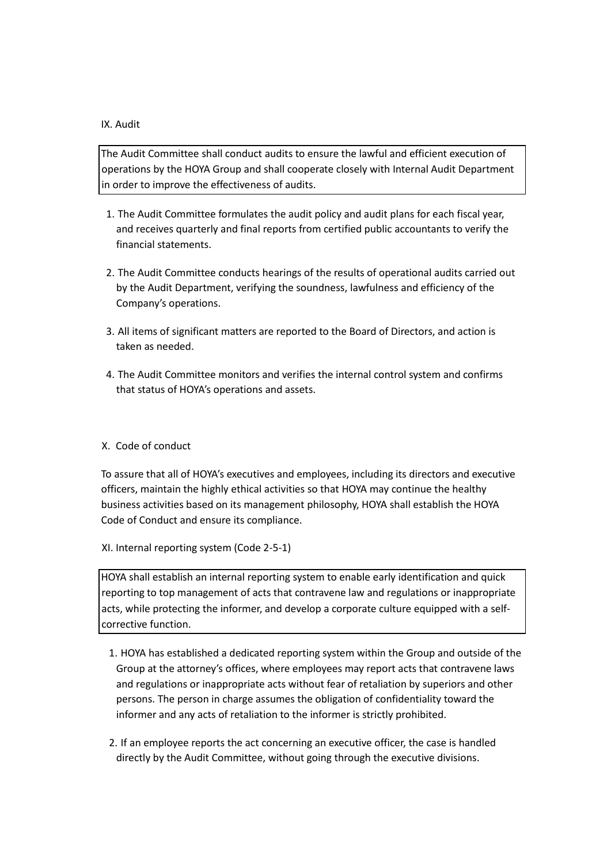#### IX. Audit

The Audit Committee shall conduct audits to ensure the lawful and efficient execution of operations by the HOYA Group and shall cooperate closely with Internal Audit Department in order to improve the effectiveness of audits.

- 1. The Audit Committee formulates the audit policy and audit plans for each fiscal year, and receives quarterly and final reports from certified public accountants to verify the financial statements.
- 2. The Audit Committee conducts hearings of the results of operational audits carried out by the Audit Department, verifying the soundness, lawfulness and efficiency of the Company's operations.
- 3. All items of significant matters are reported to the Board of Directors, and action is taken as needed.
- 4. The Audit Committee monitors and verifies the internal control system and confirms that status of HOYA's operations and assets.

### X. Code of conduct

To assure that all of HOYA's executives and employees, including its directors and executive officers, maintain the highly ethical activities so that HOYA may continue the healthy business activities based on its management philosophy, HOYA shall establish the HOYA Code of Conduct and ensure its compliance.

XI. Internal reporting system (Code 2-5-1)

HOYA shall establish an internal reporting system to enable early identification and quick reporting to top management of acts that contravene law and regulations or inappropriate acts, while protecting the informer, and develop a corporate culture equipped with a selfcorrective function.

- 1. HOYA has established a dedicated reporting system within the Group and outside of the Group at the attorney's offices, where employees may report acts that contravene laws and regulations or inappropriate acts without fear of retaliation by superiors and other persons. The person in charge assumes the obligation of confidentiality toward the informer and any acts of retaliation to the informer is strictly prohibited.
- 2. If an employee reports the act concerning an executive officer, the case is handled directly by the Audit Committee, without going through the executive divisions.